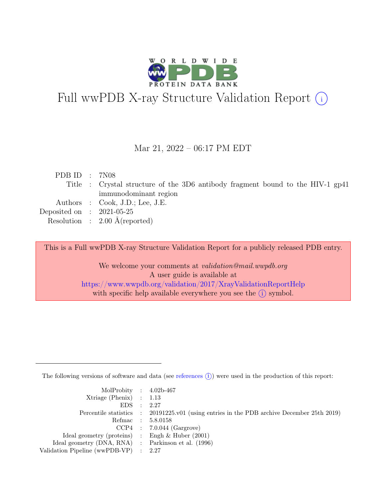

# Full wwPDB X-ray Structure Validation Report  $(i)$

#### Mar 21, 2022 – 06:17 PM EDT

| PDB ID : 7N08                                                                  |
|--------------------------------------------------------------------------------|
| Title : Crystal structure of the 3D6 antibody fragment bound to the HIV-1 gp41 |
| immunodominant region                                                          |
| Authors : Cook, J.D.; Lee, J.E.                                                |
| Deposited on : $2021-05-25$                                                    |
| Resolution : $2.00 \text{ Å}$ (reported)                                       |
|                                                                                |

This is a Full wwPDB X-ray Structure Validation Report for a publicly released PDB entry.

We welcome your comments at *validation@mail.wwpdb.org* A user guide is available at <https://www.wwpdb.org/validation/2017/XrayValidationReportHelp> with specific help available everywhere you see the  $(i)$  symbol.

The following versions of software and data (see [references](https://www.wwpdb.org/validation/2017/XrayValidationReportHelp#references)  $(i)$ ) were used in the production of this report:

| MolProbity : $4.02b-467$                            |                                                                                            |
|-----------------------------------------------------|--------------------------------------------------------------------------------------------|
| $Xtriangle (Phenix)$ : 1.13                         |                                                                                            |
| EDS : 2.27                                          |                                                                                            |
|                                                     | Percentile statistics : 20191225.v01 (using entries in the PDB archive December 25th 2019) |
|                                                     | Refmac : 5.8.0158                                                                          |
|                                                     | $CCP4$ : 7.0.044 (Gargrove)                                                                |
| Ideal geometry (proteins) : Engh $\&$ Huber (2001)  |                                                                                            |
| Ideal geometry (DNA, RNA) : Parkinson et al. (1996) |                                                                                            |
| Validation Pipeline (wwPDB-VP) : 2.27               |                                                                                            |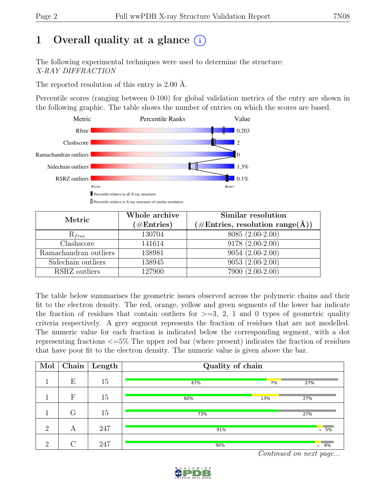# 1 Overall quality at a glance  $(i)$

The following experimental techniques were used to determine the structure: X-RAY DIFFRACTION

The reported resolution of this entry is 2.00 Å.

Percentile scores (ranging between 0-100) for global validation metrics of the entry are shown in the following graphic. The table shows the number of entries on which the scores are based.



| Metric                | Whole archive<br>$(\#Entries)$ | Similar resolution<br>$(\#Entries, resolution range(A))$ |
|-----------------------|--------------------------------|----------------------------------------------------------|
| $R_{free}$            | 130704                         | 8085 (2.00-2.00)                                         |
| Clashscore            | 141614                         | 9178 (2.00-2.00)                                         |
| Ramachandran outliers | 138981                         | $9054(2.00-2.00)$                                        |
| Sidechain outliers    | 138945                         | $9053(2.00-2.00)$                                        |
| RSRZ outliers         | 127900                         | 7900 (2.00-2.00)                                         |

The table below summarises the geometric issues observed across the polymeric chains and their fit to the electron density. The red, orange, yellow and green segments of the lower bar indicate the fraction of residues that contain outliers for  $\geq$ =3, 2, 1 and 0 types of geometric quality criteria respectively. A grey segment represents the fraction of residues that are not modelled. The numeric value for each fraction is indicated below the corresponding segment, with a dot representing fractions <=5% The upper red bar (where present) indicates the fraction of residues that have poor fit to the electron density. The numeric value is given above the bar.

| Mol            | Chain  | $\sqrt{\frac{1}{2}}$ Length | Quality of chain |                      |                  |  |  |  |
|----------------|--------|-----------------------------|------------------|----------------------|------------------|--|--|--|
|                | Е      | 15                          | 67%              | 7%                   | 27%              |  |  |  |
|                | F      | 15                          | 60%              | 13%                  | 27%              |  |  |  |
|                | G      | 15                          | 73%              |                      | 27%              |  |  |  |
| $\overline{2}$ | А      | 247                         | 91%              |                      | .5%              |  |  |  |
| $\overline{2}$ | $\cap$ | 247                         | 90%              | $\sim$ $\sim$ $\sim$ | $\overline{6\%}$ |  |  |  |

Continued on next page...

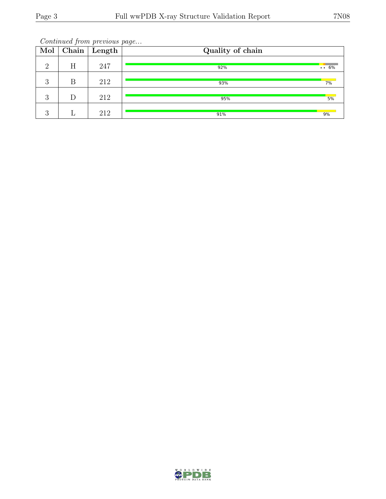Continued from previous page...

| Mol      |   | $\boxed{\text{Chain}}$ Length | Quality of chain |              |
|----------|---|-------------------------------|------------------|--------------|
| $\Omega$ | Η | 247                           | 92%              | $\cdots 6\%$ |
| 3        | В | 212                           | 93%              | 7%           |
| 3        |   | 212                           | 95%              | 5%           |
| റ<br>U   |   | 212                           | 91%              | 9%           |

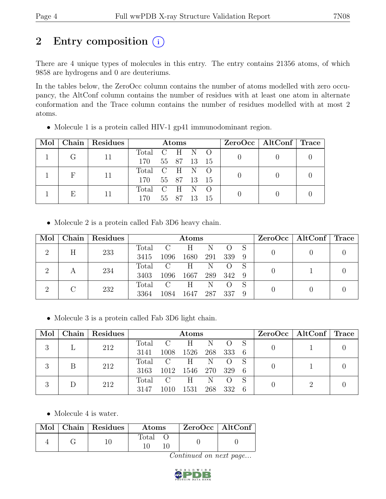## 2 Entry composition  $(i)$

There are 4 unique types of molecules in this entry. The entry contains 21356 atoms, of which 9858 are hydrogens and 0 are deuteriums.

In the tables below, the ZeroOcc column contains the number of atoms modelled with zero occupancy, the AltConf column contains the number of residues with at least one atom in alternate conformation and the Trace column contains the number of residues modelled with at most 2 atoms.

| Mol |   | Chain Residues | <b>Atoms</b>  |             |          |      | $ZeroOcc \mid AltConf \mid Trace$ |  |  |
|-----|---|----------------|---------------|-------------|----------|------|-----------------------------------|--|--|
|     |   |                | Total C H N O |             |          |      |                                   |  |  |
|     |   |                | 170           | 55 87 13 15 |          |      |                                   |  |  |
|     |   |                | Total C H N O |             |          |      |                                   |  |  |
|     |   |                | 170           | 55 87 13 15 |          |      |                                   |  |  |
|     | E |                | Total C H N O |             |          |      |                                   |  |  |
|     |   |                | 170           |             | 55 87 13 | - 15 |                                   |  |  |

• Molecule 1 is a protein called HIV-1 gp41 immunodominant region.

• Molecule 2 is a protein called Fab 3D6 heavy chain.

| Mol      |   | Chain Residues |       | Atoms          |       |     |       |     |  | $ZeroOcc \mid AltConf \mid Trace$ |  |
|----------|---|----------------|-------|----------------|-------|-----|-------|-----|--|-----------------------------------|--|
| $\Omega$ | Η | 233            | Total | $\overline{C}$ | H     | N   |       |     |  |                                   |  |
|          |   |                | 3415  | 1096           | 1680  | 291 | 339   | - 9 |  |                                   |  |
| റ        |   | 234            | Total | $\overline{C}$ | H.    | N   |       |     |  |                                   |  |
|          | А |                | 3403  | 1096           | 1667  | 289 | - 342 |     |  |                                   |  |
| $\Omega$ |   | 232            | Total | $\mathcal{C}$  | $H^-$ | N   |       |     |  |                                   |  |
|          |   | 3364           | 1084  | 1647           | 287   | 337 |       |     |  |                                   |  |

• Molecule 3 is a protein called Fab 3D6 light chain.

| Mol       |     | Chain Residues |       |                   | $\rm{Atoms}$ |       |     |    |  | $ZeroOcc \mid AltConf \mid Trace$ |  |
|-----------|-----|----------------|-------|-------------------|--------------|-------|-----|----|--|-----------------------------------|--|
|           |     | 212            | Total | $\overline{C}$    | Н            | N     |     |    |  |                                   |  |
| $\cdot$ ) |     |                | 3141  | 1008              | 1526         | 268   | 333 | -6 |  |                                   |  |
| 2         |     | 212            | Total | $\cdot$ C $\cdot$ | H            | - N   |     |    |  |                                   |  |
| $\cdot$   |     |                | 3163  | 1012              | 1546         | - 270 | 329 | 6  |  |                                   |  |
|           |     |                | Total | $\overline{C}$    | H            | N     |     |    |  |                                   |  |
| $\cdot$ ) | 212 | 3147           | 1010  | 1531              | 268          | 332   | 6   |    |  |                                   |  |

• Molecule 4 is water.

|  | Mol   Chain   Residues | <b>Atoms</b> | $\vert$ ZeroOcc $\vert$ AltConf $\vert$ |  |
|--|------------------------|--------------|-----------------------------------------|--|
|  |                        | Total        |                                         |  |

Continued on next page...

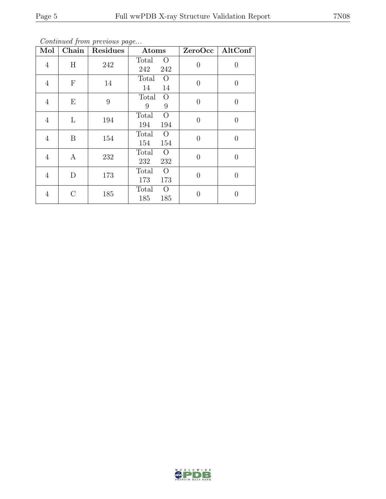Continued from previous page...

| $\overline{\text{Mol}}$ | Chain            | Residues | Atoms                                 |                | $ZeroOcc$   AltConf |
|-------------------------|------------------|----------|---------------------------------------|----------------|---------------------|
| $\overline{4}$          | H                | 242      | Total<br>$\overline{O}$<br>242<br>242 | $\theta$       | $\overline{0}$      |
| $\overline{4}$          | $\mathbf F$      | 14       | Total<br>$\overline{O}$<br>14<br>14   | $\overline{0}$ | $\overline{0}$      |
| $\overline{4}$          | E                | 9        | Total<br>$\overline{O}$<br>9<br>9     | $\theta$       | $\overline{0}$      |
| $\overline{4}$          | L                | 194      | $\overline{O}$<br>Total<br>194<br>194 | $\theta$       | $\overline{0}$      |
| 4                       | B                | 154      | Total<br>$\overline{O}$<br>154<br>154 | $\theta$       | $\overline{0}$      |
| $\overline{4}$          | $\boldsymbol{A}$ | 232      | $\overline{O}$<br>Total<br>232<br>232 | $\overline{0}$ | $\overline{0}$      |
| $\overline{4}$          | D                | 173      | $\overline{O}$<br>Total<br>173<br>173 | 0              | $\overline{0}$      |
| 4                       | $\mathcal{C}$    | 185      | Total<br>$\overline{O}$<br>185<br>185 | O              | 0                   |

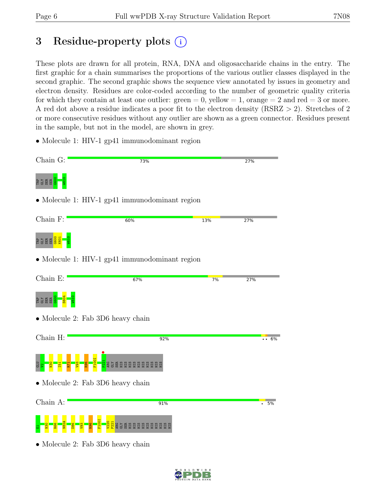## 3 Residue-property plots (i)

These plots are drawn for all protein, RNA, DNA and oligosaccharide chains in the entry. The first graphic for a chain summarises the proportions of the various outlier classes displayed in the second graphic. The second graphic shows the sequence view annotated by issues in geometry and electron density. Residues are color-coded according to the number of geometric quality criteria for which they contain at least one outlier:  $green = 0$ , yellow  $= 1$ , orange  $= 2$  and red  $= 3$  or more. A red dot above a residue indicates a poor fit to the electron density (RSRZ > 2). Stretches of 2 or more consecutive residues without any outlier are shown as a green connector. Residues present in the sample, but not in the model, are shown in grey.

• Molecule 1: HIV-1 gp41 immunodominant region



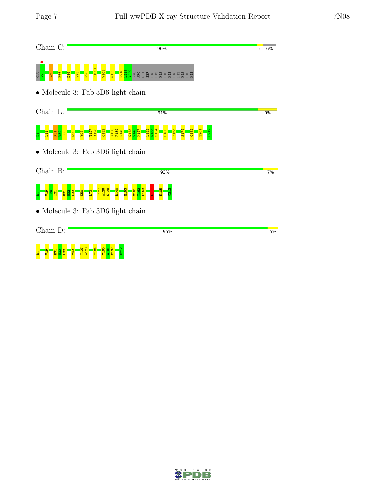| Chain C:                                  | 90%           | 6% |
|-------------------------------------------|---------------|----|
| <b>CLU</b>                                | <b>REGREE</b> |    |
| $\bullet$ Molecule 3: Fab 3D6 light chain |               |    |
| Chain L:                                  | 91%           | 9% |
|                                           |               |    |
| $\bullet$ Molecule 3: Fab 3D6 light chain |               |    |
| Chain B:                                  | 93%           | 7% |
|                                           |               |    |
| $\bullet$ Molecule 3: Fab 3D6 light chain |               |    |
| Chain D:                                  | 95%           | 5% |
| $\frac{90}{2}$                            |               |    |

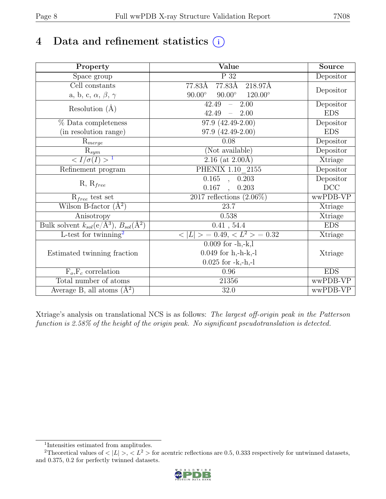## 4 Data and refinement statistics  $(i)$

| Property                                                               | Value                                             | <b>Source</b> |
|------------------------------------------------------------------------|---------------------------------------------------|---------------|
| Space group                                                            | $\overline{P}32$                                  | Depositor     |
| Cell constants                                                         | 77.83Å<br>218.97Å<br>77.83Å                       |               |
| a, b, c, $\alpha$ , $\beta$ , $\gamma$                                 | $90.00^{\circ}$ $120.00^{\circ}$<br>$90.00^\circ$ | Depositor     |
| Resolution $(A)$                                                       | 42.49<br>2.00<br>$\equiv$ .                       | Depositor     |
|                                                                        | 42.49<br>2.00                                     | <b>EDS</b>    |
| % Data completeness                                                    | $97.9(42.49-2.00)$                                | Depositor     |
| (in resolution range)                                                  | $97.9(42.49-2.00)$                                | <b>EDS</b>    |
| $R_{merge}$                                                            | 0.08                                              | Depositor     |
| $\mathbf{R}_{sym}$                                                     | (Not available)                                   | Depositor     |
| $\sqrt{I/\sigma(I)} > 1$                                               | 2.16 (at $2.00\text{\AA}$ )                       | Xtriage       |
| Refinement program                                                     | PHENIX 1.10 2155                                  | Depositor     |
|                                                                        | $0.165$ , $0.203$                                 | Depositor     |
| $R, R_{free}$                                                          | 0.167<br>0.203<br>$\overline{\phantom{a}}$        | DCC           |
| $R_{free}$ test set                                                    | $2017$ reflections $(2.06\%)$                     | wwPDB-VP      |
| Wilson B-factor $(A^2)$                                                | 23.7                                              | Xtriage       |
| Anisotropy                                                             | 0.538                                             | Xtriage       |
| Bulk solvent $k_{sol}(\mathrm{e}/\mathrm{A}^3), B_{sol}(\mathrm{A}^2)$ | 0.41, 54.4                                        | <b>EDS</b>    |
| L-test for twinning <sup>2</sup>                                       | $< L >$ = 0.49, $< L2$ > = 0.32                   | Xtriage       |
|                                                                        | $0.009$ for $-h,-k,l$                             |               |
| Estimated twinning fraction                                            | $0.049$ for h,-h-k,-l                             | Xtriage       |
|                                                                        | $0.025$ for $-k,-h,-l$                            |               |
| $F_o, F_c$ correlation                                                 | 0.96                                              | <b>EDS</b>    |
| Total number of atoms                                                  | 21356                                             | wwPDB-VP      |
| Average B, all atoms $(A^2)$                                           | 32.0                                              | wwPDB-VP      |

Xtriage's analysis on translational NCS is as follows: The largest off-origin peak in the Patterson function is 2.58% of the height of the origin peak. No significant pseudotranslation is detected.

<sup>&</sup>lt;sup>2</sup>Theoretical values of  $\langle |L| \rangle$ ,  $\langle L^2 \rangle$  for acentric reflections are 0.5, 0.333 respectively for untwinned datasets, and 0.375, 0.2 for perfectly twinned datasets.



<span id="page-7-1"></span><span id="page-7-0"></span><sup>1</sup> Intensities estimated from amplitudes.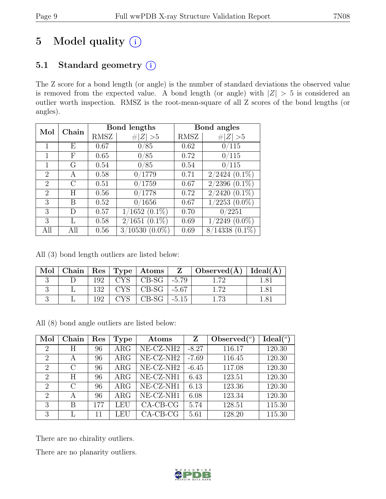# 5 Model quality  $(i)$

### 5.1 Standard geometry (i)

The Z score for a bond length (or angle) is the number of standard deviations the observed value is removed from the expected value. A bond length (or angle) with  $|Z| > 5$  is considered an outlier worth inspection. RMSZ is the root-mean-square of all Z scores of the bond lengths (or angles).

| Mol                         | Chain |      | Bond lengths       |      | Bond angles        |
|-----------------------------|-------|------|--------------------|------|--------------------|
|                             |       | RMSZ | Z   > 5            | RMSZ | $\# Z  > 5$        |
|                             | Е     | 0.67 | 0/85               | 0.62 | 0/115              |
| 1                           | F     | 0.65 | 0/85               | 0.72 | 0/115              |
| 1                           | G     | 0.54 | 0/85               | 0.54 | 0/115              |
| 2                           | A     | 0.58 | 0/1779             | 0.71 | $2/2424$ $(0.1\%)$ |
| $\overline{2}$              | C     | 0.51 | 0/1759             | 0.67 | $2/2396$ $(0.1\%)$ |
| $\mathcal{D}_{\mathcal{L}}$ | H     | 0.56 | 0/1778             | 0.72 | $2/2420(0.1\%)$    |
| 3                           | В     | 0.52 | 0/1656             | 0.67 | $1/2253$ $(0.0\%)$ |
| 3                           | D     | 0.57 | $1/1652$ $(0.1\%)$ | 0.70 | 0/2251             |
| 3                           | L     | 0.58 | $2/1651$ $(0.1\%)$ | 0.69 | $(2249(0.0\%)$     |
| All                         | All   | 0.56 | $3/10530(0.0\%)$   | 0.69 | $8/14338(0.1\%)$   |

All (3) bond length outliers are listed below:

| Mol |      |                           | Chain   Res   Type   Atoms   Z   Observed( $\AA$ )   Ideal( $\AA$ ) |      |
|-----|------|---------------------------|---------------------------------------------------------------------|------|
|     | 192  | $CYS$   CB-SG   -5.79     | -72                                                                 | 1.81 |
|     | 132  | $CYS$   CB-SG   -5.67     | 1.72                                                                | 1.81 |
|     | 102. | $\mid$ CB-SG $\mid$ -5.15 |                                                                     |      |

All (8) bond angle outliers are listed below:

| Mol                         | Chain         | Res | Type       | Atoms        | Z       | Observed $(°)$ | Ideal <sup>(o</sup> ) |
|-----------------------------|---------------|-----|------------|--------------|---------|----------------|-----------------------|
| $\overline{2}$              | Η             | 96  | $\rm{ARG}$ | $NE- CZ-NH2$ | $-8.27$ | 116.17         | 120.30                |
| $\overline{2}$              | $\mathsf{A}$  | 96  | $\rm{ARG}$ | $NE- CZ-NH2$ | $-7.69$ | 116.45         | 120.30                |
| $\overline{2}$              | $\mathcal{C}$ | 96  | $\rm{ARG}$ | $NE- CZ-NH2$ | $-6.45$ | 117.08         | 120.30                |
| $\mathcal{D}$               | H             | 96  | $\rm{ARG}$ | NE-CZ-NH1    | 6.43    | 123.51         | 120.30                |
| $\mathcal{D}_{\mathcal{L}}$ | $\mathcal{C}$ | 96  | $\rm{ARG}$ | $NE- CZ-NH1$ | 6.13    | 123.36         | 120.30                |
| $\overline{2}$              | A             | 96  | $\rm{ARG}$ | NE-CZ-NH1    | 6.08    | 123.34         | 120.30                |
| 3                           | B             | 177 | LEU        | $CA-CB-CG$   | 5.74    | 128.51         | 115.30                |
| 3                           | L             | 11  | LEU        | $CA-CB-CG$   | 5.61    | 128.20         | 115.30                |

There are no chirality outliers.

There are no planarity outliers.

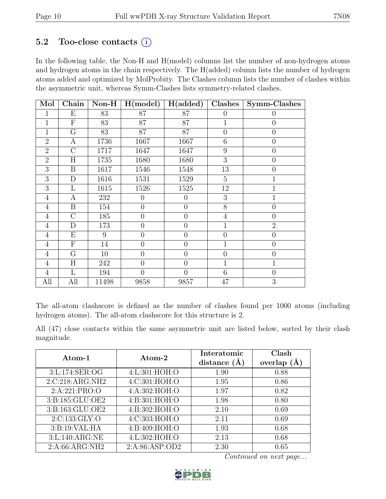### 5.2 Too-close contacts  $(i)$

In the following table, the Non-H and H(model) columns list the number of non-hydrogen atoms and hydrogen atoms in the chain respectively. The H(added) column lists the number of hydrogen atoms added and optimized by MolProbity. The Clashes column lists the number of clashes within the asymmetric unit, whereas Symm-Clashes lists symmetry-related clashes.

| Mol            | Chain                   | $Non-H$ | H (model)        | H(added)       | Clashes        | Symm-Clashes     |
|----------------|-------------------------|---------|------------------|----------------|----------------|------------------|
| 1              | Е                       | 83      | 87               | 87             | $\theta$       | $\theta$         |
| 1              | $\mathbf{F}$            | 83      | 87               | 87             | $\overline{1}$ | $\boldsymbol{0}$ |
| $\overline{1}$ | G                       | 83      | 87               | 87             | $\overline{0}$ | $\overline{0}$   |
| $\overline{2}$ | А                       | 1736    | 1667             | 1667           | 6              | $\overline{0}$   |
| $\overline{2}$ | $\mathcal{C}$           | 1717    | 1647             | 1647           | 9              | $\theta$         |
| $\overline{2}$ | $\overline{\rm H}$      | 1735    | 1680             | 1680           | $\overline{3}$ | $\overline{0}$   |
| 3              | $\boldsymbol{B}$        | 1617    | 1546             | 1548           | 13             | $\overline{0}$   |
| $\overline{3}$ | $\mathbf D$             | 1616    | 1531             | 1529           | $\overline{5}$ | $\mathbf{1}$     |
| 3              | L                       | 1615    | 1526             | 1525           | 12             | $\mathbf{1}$     |
| $\overline{4}$ | A                       | 232     | $\overline{0}$   | $\overline{0}$ | 3              | $\mathbf{1}$     |
| $\overline{4}$ | $\boldsymbol{B}$        | 154     | $\overline{0}$   | $\overline{0}$ | 8              | $\overline{0}$   |
| $\overline{4}$ | $\mathcal{C}$           | 185     | $\boldsymbol{0}$ | $\overline{0}$ | $\overline{4}$ | $\theta$         |
| $\overline{4}$ | $\mathbf D$             | 173     | $\overline{0}$   | $\overline{0}$ | $\overline{1}$ | $\overline{2}$   |
| $\overline{4}$ | Ε                       | 9       | $\overline{0}$   | $\overline{0}$ | $\overline{0}$ | $\overline{0}$   |
| $\overline{4}$ | ${\bf F}$               | 14      | $\boldsymbol{0}$ | $\overline{0}$ | $\mathbf{1}$   | $\theta$         |
| $\overline{4}$ | $\overline{\mathrm{G}}$ | 10      | $\overline{0}$   | $\overline{0}$ | $\theta$       | $\overline{0}$   |
| $\overline{4}$ | H                       | 242     | $\theta$         | $\overline{0}$ | $\mathbf{1}$   | $\mathbf{1}$     |
| $\overline{4}$ | L                       | 194     | $\overline{0}$   | $\overline{0}$ | 6              | $\overline{0}$   |
| All            | All                     | 11498   | 9858             | 9857           | 47             | 3                |

The all-atom clashscore is defined as the number of clashes found per 1000 atoms (including hydrogen atoms). The all-atom clashscore for this structure is 2.

All (47) close contacts within the same asymmetric unit are listed below, sorted by their clash magnitude.

| Atom-1            | Atom-2          | Interatomic    | Clash         |
|-------------------|-----------------|----------------|---------------|
|                   |                 | distance $(A)$ | overlap $(A)$ |
| 3:L:174:SER:OG    | 4:L:301:HOH:O   | 1.90           | 0.88          |
| 2:C:218:ARG:NH2   | 4:C:301:HOH:O   | 1.95           | 0.86          |
| 2:A:221:PRO:O     | 4: A:302: HOH:O | 1.97           | 0.82          |
| 3:B:185:GLU:OE2   | 4: B:301:HOH:O  | 1.98           | 0.80          |
| 3:B:163:GLU:OE2   | 4:B:302:HOH:O   | 2.10           | 0.69          |
| 2:C:133:GLY:O     | 4:C:303:HOH:O   | 2.11           | 0.69          |
| 3: B: 19: VAL: HA | 4:B:409:HOH:O   | 1.93           | 0.68          |
| 3:L:140:ARG:NE    | 4:L:302:HOH:O   | 2.13           | 0.68          |
| 2:A:66:ARG:NH2    | 2:A:86:ASP:OD2  | 2.30           | 0.65          |

Continued on next page...

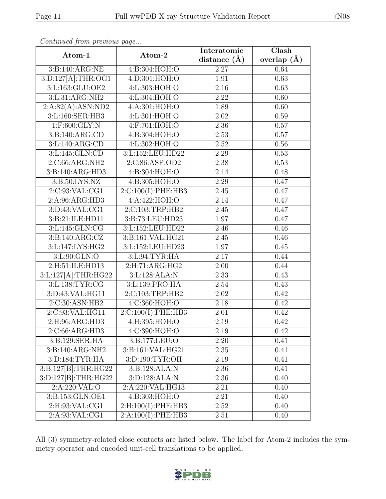| Atom-1                         | Atom-2                | Interatomic    | Clash           |  |
|--------------------------------|-----------------------|----------------|-----------------|--|
|                                |                       | distance $(A)$ | overlap $(\AA)$ |  |
| 3:B:140:ARG:NE                 | 4:B:304:HOH:O         | 2.27           | 0.64            |  |
| 3:D:127[A]:THR:OG1             | 4:D:301:HOH:O         | 1.91           | 0.63            |  |
| 3:L:163:GLU:OE2                | 4:L:303:HOH:O         | 2.16           | 0.63            |  |
| 3:L:31:ARG:NH2                 | 4:L:304:HOH:O         | 2.22           | 0.60            |  |
| 2:A:82(A):ASN:ND2              | 4:A:301:HOH:O         | 1.89           | 0.60            |  |
| 3:L:160:SER:HB3                | 4:L:301:HOH:O         | 2.02           | 0.59            |  |
| $1:$ F:600:GLY:N               | 4:F:701:HOH:O         | 2.36           | 0.57            |  |
| 3:B:140:ARG:CD                 | 4:B:304:HOH:O         | 2.53           | 0.57            |  |
| 3:L:140:ARG:CD                 | 4:L:302:HOH:O         | 2.52           | 0.56            |  |
| 3:L:145:GLN:CD                 | 3:L:152:LEU:HD22      | 2.29           | 0.53            |  |
| 2:C:66:ARG:NH2                 | 2:C:86:ASP:OD2        | 2.38           | 0.53            |  |
| 3:B:140:ARG:HD3                | 4:B:304:HOH:O         | 2.14           | 0.48            |  |
| 3:B:50:LYS:NZ                  | 4:B:305:HOH:O         | 2.29           | 0.47            |  |
| 2:C:93:VAL:CG1                 | $2:C:100(I):$ PHE:HB3 | 2.45           | 0.47            |  |
| 2:A:96:ARG:HD3                 | 4:A:422:HOH:O         | 2.14           | 0.47            |  |
| 3: D: 43: VAL: C <sub>G1</sub> | 2:C:103:TRP:HB2       | 2.45           | 0.47            |  |
| 3:B:21:ILE:HD11                | 3:B:73:LEU:HD23       | 1.97           | 0.47            |  |
| 3:L:145:GLN:CG                 | 3:L:152:LEU:HD22      | 2.46           | 0.46            |  |
| 3: B:140: ARG: CZ              | 3:B:161:VAL:HG21      | 2.45           | 0.46            |  |
| 3:L:147:LYS:HG2                | 3:L:152:LEU:HD23      | 1.97           | 0.45            |  |
| 3:L:90:GLN:O                   | 3:L:94:TYR:HA         | 2.17           | 0.44            |  |
| 2:H:51:ILE:HD13                | 2: H: 71: ARG: HG2    | 2.00           | 0.44            |  |
| 3:L:127[A]:THR:HG22            | 3:L:128:ALA:N         | 2.33           | 0.43            |  |
| 3:L:138:TYR:CG                 | 3:L:139:PRO:HA        | 2.54           | 0.43            |  |
| 3:D:43:VAL:HG11                | 2:C:103:TRP:HB2       | 2.02           | 0.42            |  |
| 2:C:30:ASN:HB2                 | 4:C:360:HOH:O         | 2.18           | 0.42            |  |
| 2:C:93:VAL:HG11                | 2:C:100(I):PHE:HB3    | 2.01           | 0.42            |  |
| 2:H:96:ARG:HD3                 | 4:H:395:HOH:O         | 2.19           | 0.42            |  |
| 2:C:66:ARG:HD3                 | 4: C:390:HOH:O        | 2.19           | 0.42            |  |
| 3:B:129:SER:HA                 | 3:B:177:LEU:O         | 2.20           | 0.41            |  |
| 3:B:140:ARG:NH2                | 3:B:161:VAL:HG21      | 2.35           | 0.41            |  |
| 3:D:184:TYR:HA                 | 3:D:190:TYR:OH        | 2.19           | 0.41            |  |
| 3:B:127[B]:THR:HG22            | 3:B:128:ALA:N         | 2.36           | 0.41            |  |
| 3:D:127[B]:THR:HG22            | 3:D:128:ALA:N         | 2.36           | 0.40            |  |
| 2:A:220:VAL:O                  | 2:A:220:VAL:HG13      | 2.21           | 0.40            |  |
| 3:B:153:GLN:OE1                | 4:B:303:HOH:O         | 2.21           | 0.40            |  |
| 2:H:93:VAL:CG1                 | 2: H:100(I): PHE:HB3  | 2.52           | 0.40            |  |
| 2:A:93:VAL:CG1                 | 2:A:100(I):PHE:HB3    | 2.51           | 0.40            |  |

Continued from previous page...

All (3) symmetry-related close contacts are listed below. The label for Atom-2 includes the symmetry operator and encoded unit-cell translations to be applied.

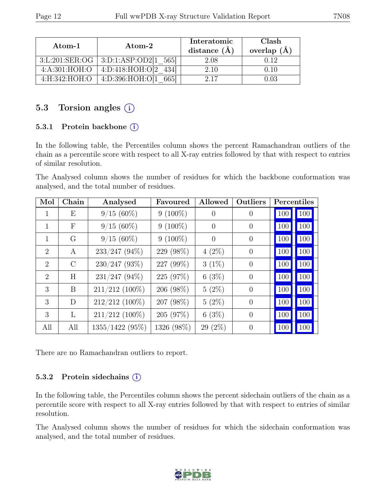| $\rm{Atom-1}$  | $\bm{\mathrm{Atom}\text{-}2}$ | Interatomic<br>distance $(\AA)$ | Clash<br>overlap $(\AA)$ |
|----------------|-------------------------------|---------------------------------|--------------------------|
| 3:L:201:SER:OG | 3:D:1:ASP:OD2[1 565]          | 2.08                            | 0.12                     |
| 4:A:301:HOH:O  | 4: D: 418: HOH: O[2]          | 2.10                            | 0.10                     |
| 4:H:342:HOH:O  | 4: D: 396: HOH: O[1]<br>6651  | 2.17                            |                          |

#### 5.3 Torsion angles  $(i)$

#### 5.3.1 Protein backbone (i)

In the following table, the Percentiles column shows the percent Ramachandran outliers of the chain as a percentile score with respect to all X-ray entries followed by that with respect to entries of similar resolution.

The Analysed column shows the number of residues for which the backbone conformation was analysed, and the total number of residues.

| Mol                         | Chain      | Analysed         | Favoured   | Allowed        | Outliers       | Percentiles |     |
|-----------------------------|------------|------------------|------------|----------------|----------------|-------------|-----|
| 1                           | Ε          | $9/15(60\%)$     | $9(100\%)$ | $\theta$       | $\theta$       | 100         | 100 |
| $\mathbf{1}$                | $_{\rm F}$ | $9/15(60\%)$     | $9(100\%)$ | $\overline{0}$ | $\overline{0}$ | 100         | 100 |
| $\mathbf{1}$                | G          | $9/15(60\%)$     | $9(100\%)$ | $\Omega$       | $\overline{0}$ | 100         | 100 |
| $\overline{2}$              | A          | $233/247$ (94%)  | 229 (98%)  | $4(2\%)$       | $\overline{0}$ | 100         | 100 |
| $\mathcal{D}_{\mathcal{L}}$ | $\rm C$    | $230/247$ (93%)  | 227 (99%)  | $3(1\%)$       | $\theta$       | 100         | 100 |
| $\overline{2}$              | H          | $231/247$ (94%)  | 225 (97%)  | 6(3%)          | $\theta$       | 100         | 100 |
| 3                           | B          | 211/212 (100%)   | 206 (98%)  | $5(2\%)$       | $\overline{0}$ | 100         | 100 |
| 3                           | D          | $212/212$ (100%) | 207 (98%)  | $5(2\%)$       | $\overline{0}$ | 100         | 100 |
| 3                           | L          | $211/212$ (100%) | 205 (97%)  | 6(3%)          | $\overline{0}$ | 100         | 100 |
| All                         | All        | 1355/1422 (95%)  | 1326 (98%) | $29(2\%)$      | $\Omega$       | 100         | 100 |

There are no Ramachandran outliers to report.

#### 5.3.2 Protein sidechains (i)

In the following table, the Percentiles column shows the percent sidechain outliers of the chain as a percentile score with respect to all X-ray entries followed by that with respect to entries of similar resolution.

The Analysed column shows the number of residues for which the sidechain conformation was analysed, and the total number of residues.

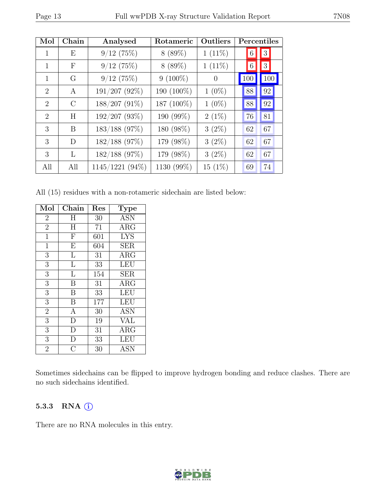| Mol                         | Chain         | Analysed        | Rotameric  | Outliers  | Percentiles     |          |
|-----------------------------|---------------|-----------------|------------|-----------|-----------------|----------|
|                             | Ε             | 9/12(75%)       | 8(89%)     | $1(11\%)$ | $6\phantom{.}6$ | 3        |
| 1                           | $_{\rm F}$    | 9/12(75%)       | 8(89%)     | $1(11\%)$ | 6               | $3\vert$ |
| 1                           | G             | 9/12(75%)       | $9(100\%)$ | $\Omega$  | 100             | 100      |
| $\mathcal{D}_{\mathcal{L}}$ | $\mathsf{A}$  | 191/207 (92%)   | 190 (100%) | $1(0\%)$  | 88              | $\rm 92$ |
| $\mathcal{D}_{\mathcal{L}}$ | $\mathcal{C}$ | $188/207(91\%)$ | 187 (100%) | $1(0\%)$  | 88              | $\rm 92$ |
| $\overline{2}$              | H             | 192/207 (93%)   | 190 (99%)  | $2(1\%)$  | 76              | 81       |
| 3                           | B             | $183/188$ (97%) | 180 (98%)  | $3(2\%)$  | 62              | 67       |
| 3                           | D             | $182/188$ (97%) | 179 (98%)  | $3(2\%)$  | 62              | 67       |
| 3                           | L             | 182/188 (97%)   | 179 (98%)  | $3(2\%)$  | 62              | 67       |
| All                         | All           | 1145/1221 (94%) | 1130 (99%) | $15(1\%)$ | 69              | 74       |

All (15) residues with a non-rotameric sidechain are listed below:

| Mol            | Chain                   | Res | Type       |
|----------------|-------------------------|-----|------------|
| $\overline{2}$ | H                       | 30  | <b>ASN</b> |
| $\overline{2}$ | $H_{\rm}$               | 71  | $\rm{ARG}$ |
| $\mathbf{1}$   | ${\bf F}$               | 601 | <b>LYS</b> |
| $\mathbf{1}$   | $\overline{\mathrm{E}}$ | 604 | SER        |
| 3              | L                       | 31  | ARG        |
| 3              | L                       | 33  | <b>LEU</b> |
| $\overline{3}$ | L                       | 154 | SER        |
| 3              | B                       | 31  | $\rm{ARG}$ |
| $\overline{3}$ | B                       | 33  | LEU        |
| 3              | B                       | 177 | <b>LEU</b> |
| $\overline{2}$ | A                       | 30  | <b>ASN</b> |
| $\overline{3}$ | D                       | 19  | <b>VAL</b> |
| 3              | $\mathbf D$             | 31  | $\rm{ARG}$ |
| $\overline{3}$ | $\mathbf{D}$            | 33  | <b>LEU</b> |
| $\overline{2}$ | $\overline{\rm C}$      | 30  | <b>ASN</b> |

Sometimes sidechains can be flipped to improve hydrogen bonding and reduce clashes. There are no such sidechains identified.

#### 5.3.3 RNA (i)

There are no RNA molecules in this entry.

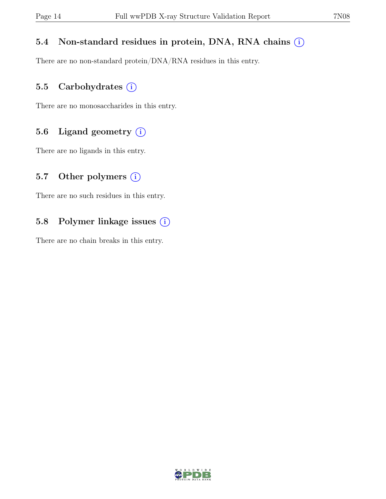#### 5.4 Non-standard residues in protein, DNA, RNA chains  $(i)$

There are no non-standard protein/DNA/RNA residues in this entry.

#### 5.5 Carbohydrates  $(i)$

There are no monosaccharides in this entry.

#### 5.6 Ligand geometry  $(i)$

There are no ligands in this entry.

#### 5.7 Other polymers  $(i)$

There are no such residues in this entry.

#### 5.8 Polymer linkage issues (i)

There are no chain breaks in this entry.

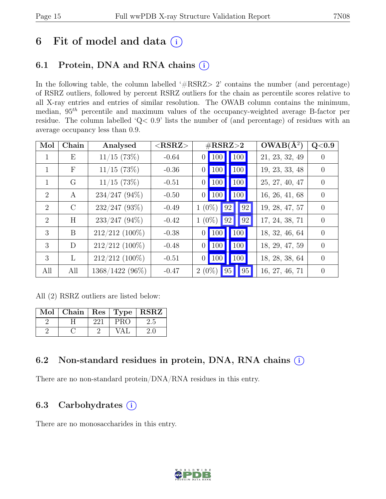## 6 Fit of model and data  $(i)$

### 6.1 Protein, DNA and RNA chains  $(i)$

In the following table, the column labelled '#RSRZ> 2' contains the number (and percentage) of RSRZ outliers, followed by percent RSRZ outliers for the chain as percentile scores relative to all X-ray entries and entries of similar resolution. The OWAB column contains the minimum, median,  $95<sup>th</sup>$  percentile and maximum values of the occupancy-weighted average B-factor per residue. The column labelled 'Q< 0.9' lists the number of (and percentage) of residues with an average occupancy less than 0.9.

| Mol          | Chain            | Analysed          | $<$ RSRZ $>$ | $\#\text{RSRZ}\text{>2}$                                    | $OWAB(A^2)$    | Q <sub>0.9</sub> |
|--------------|------------------|-------------------|--------------|-------------------------------------------------------------|----------------|------------------|
|              | Ε                | $11/15$ (73%)     | $-0.64$      | 100 <br>100<br>$\overline{0}$                               | 21, 23, 32, 49 | $\theta$         |
| $\mathbf{1}$ | $\boldsymbol{F}$ | $11/15$ (73%)     | $-0.36$      | 100<br><b>100</b><br>$\overline{0}$                         | 19, 23, 33, 48 | $\Omega$         |
| $\mathbf{1}$ | G                | $11/15$ (73%)     | $-0.51$      | 100<br><b>100</b><br>$\overline{0}$                         | 25, 27, 40, 47 | $\theta$         |
| 2            | A                | $234/247$ (94\%)  | $-0.50$      | $\vert$ 100<br>$\vert$ 100 $\vert$<br>$\vert 0 \vert \vert$ | 16, 26, 41, 68 | $\theta$         |
| 2            | $\rm C$          | $232/247$ (93%)   | $-0.49$      | 92<br>$1(0\%)$<br>92                                        | 19, 28, 47, 57 | $\theta$         |
| 2            | H                | $233/247$ (94%)   | $-0.42$      | $1(0\%)$<br>92<br>92                                        | 17, 24, 38, 71 | $\theta$         |
| 3            | B                | $212/212$ (100%)  | $-0.38$      | 100<br>100<br>$\vert 0 \vert$                               | 18, 32, 46, 64 | $\Omega$         |
| 3            | D                | $212/212$ (100%)  | $-0.48$      | 100  <br>$\vert$ 100<br>$\overline{0}$                      | 18, 29, 47, 59 | $\Omega$         |
| 3            | $\mathbf{L}$     | $212/212$ (100%)  | $-0.51$      | $\vert$ 100<br>$\vert$ 100<br>$\overline{0}$                | 18, 28, 38, 64 | $\Omega$         |
| All          | All              | $1368/1422(96\%)$ | $-0.47$      | 95<br>$2(0\%)$<br>95                                        | 16, 27, 46, 71 | $\overline{0}$   |

All (2) RSRZ outliers are listed below:

| $\operatorname{Mol}$ | Chain | $\mid$ Res $\mid$ | $\top$ Type $\top$ | <b>RSRZ</b> |
|----------------------|-------|-------------------|--------------------|-------------|
|                      |       | 221               | PRO                | 2.5         |
|                      |       |                   |                    |             |

### 6.2 Non-standard residues in protein, DNA, RNA chains  $(i)$

There are no non-standard protein/DNA/RNA residues in this entry.

### 6.3 Carbohydrates  $(i)$

There are no monosaccharides in this entry.